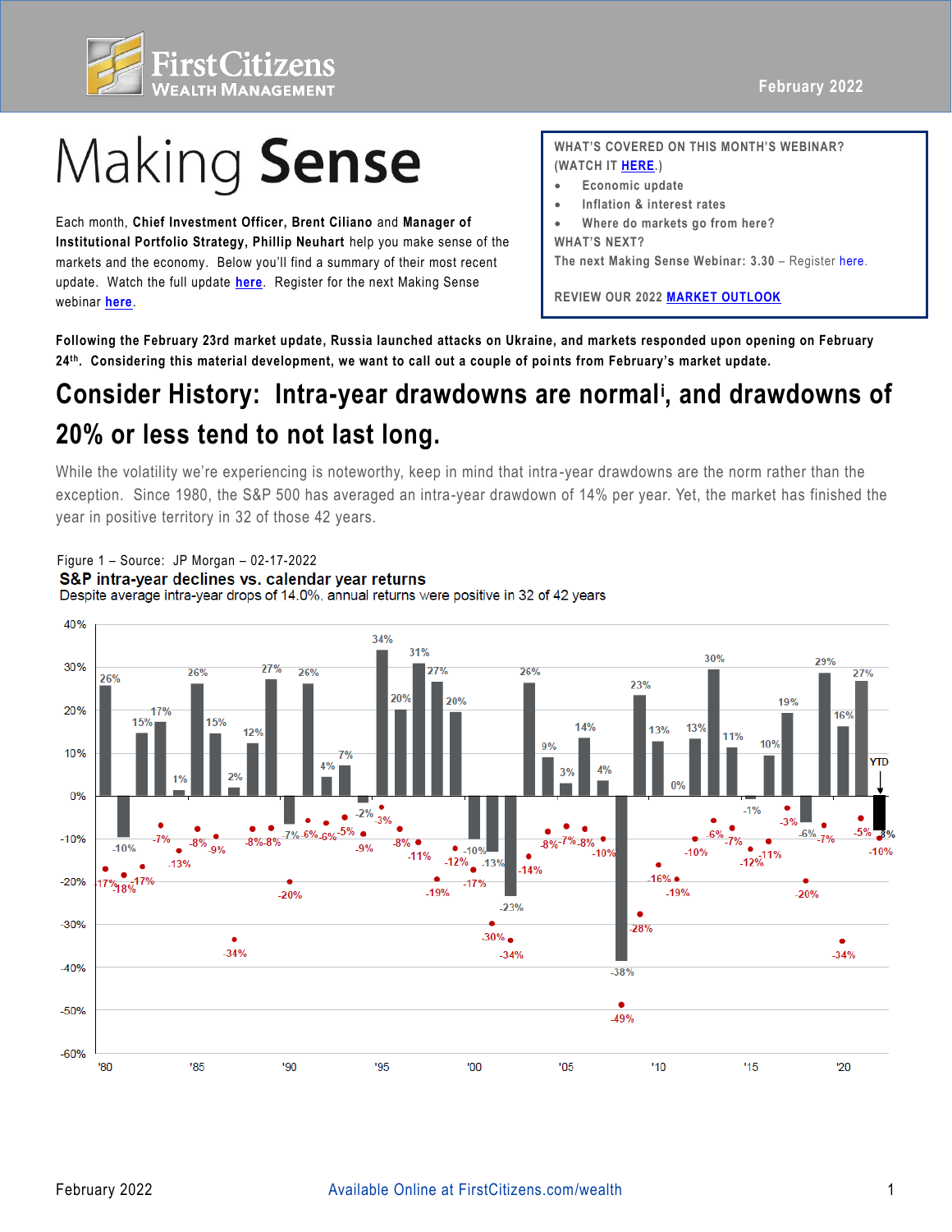

# Making Sense

Each month, **Chief Investment Officer, Brent Ciliano** and **Manager of Institutional Portfolio Strategy, Phillip Neuhart** help you make sense of the markets and the economy. Below you'll find a summary of their most recent update. Watch the full update **[here](https://fast.wistia.net/embed/channel/3szt6oi0ia?wchannelid=3szt6oi0ia&wvideoid=us8li6da3z)**. Register for the next Making Sense webinar **[here](https://firstcitizens.webex.com/firstcitizens/onstage/g.php?MTID=e8c5359b8ed252c613ef704672b36a901)**.

**WHAT'S COVERED ON THIS MONTH'S WEBINAR? (WATCH IT [HERE](https://fast.wistia.net/embed/channel/3szt6oi0ia?wchannelid=3szt6oi0ia&wvideoid=us8li6da3z).)** 

- **Economic update**
- **Inflation & interest rates**
- **Where do markets go from here? WHAT'S NEXT?**

**The next Making Sense Webinar: 3.30** – Register [here](https://firstcitizens.webex.com/firstcitizens/onstage/g.php?MTID=e8c5359b8ed252c613ef704672b36a901).

**REVIEW OUR 2022 [MARKET OUTLOOK](https://www.firstcitizens.com/wealth/market-outlook/2021/making-sense-2022-market-outlook)**

**Following the February 23rd market update, Russia launched attacks on Ukraine, and markets responded upon opening on February 24th. Considering this material development, we want to call out a couple of poi nts from February's market update.** 

## Consider History: Intra-year drawdowns are normal<sup>i</sup>, and drawdowns of **20% or less tend to not last long.**

 While the volatility we're experiencing is noteworthy, keep in mind that intra -year drawdowns are the norm rather than the exception. Since 1980, the S&P 500 has averaged an intra-year drawdown of 14% per year. Yet, the market has finished the year in positive territory in 32 of those 42 years.

#### Figure 1 – Source: JP Morgan – 02-17-2022 S&P intra-year declines vs. calendar year returns Despite average intra-year drops of 14.0%, annual returns were positive in 32 of 42 years

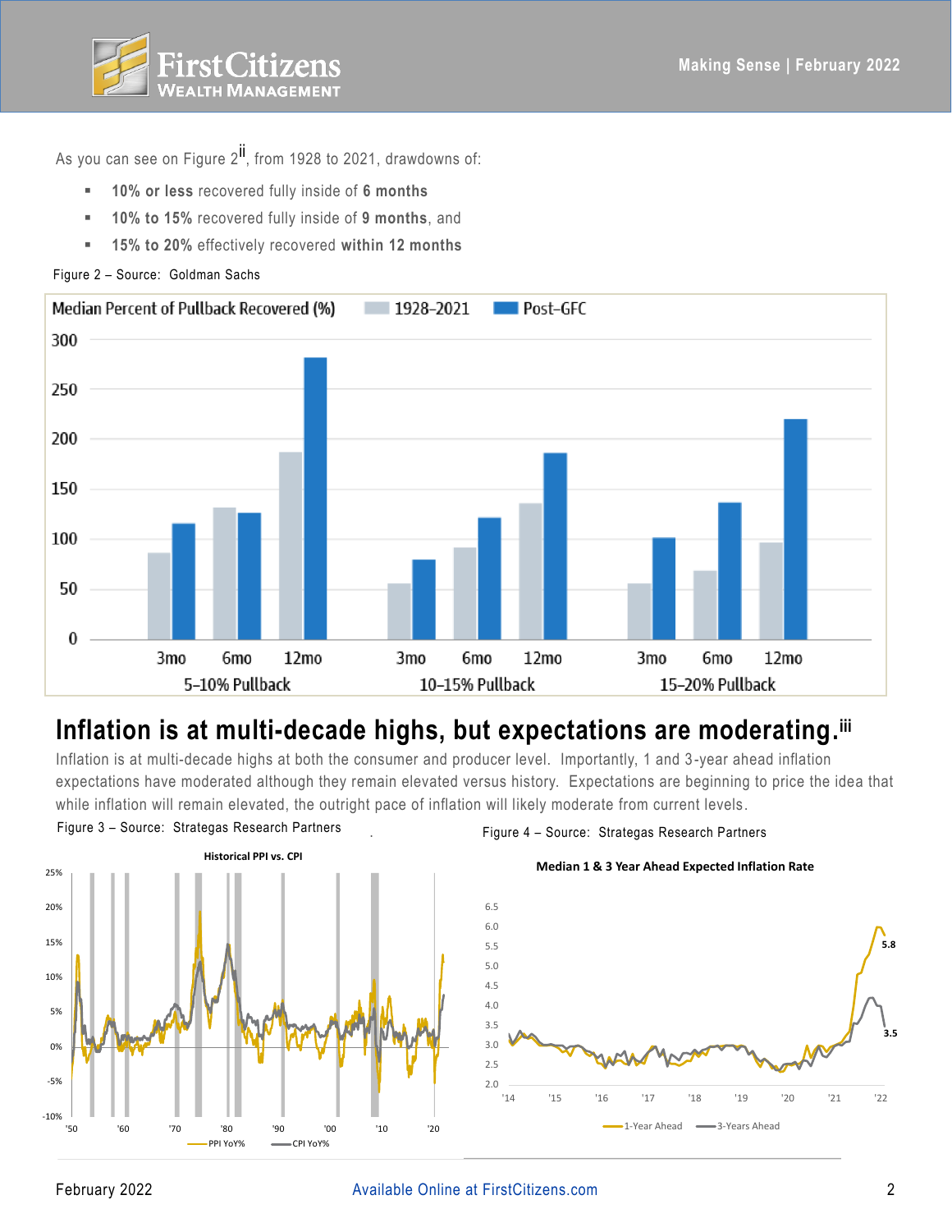

As you can see on Figure  $2^{i}$ , from 1928 to 2021, drawdowns of:

- **10% or less** recovered fully inside of **6 months**
- **10% to 15%** recovered fully inside of **9 months**, and
- **15% to 20%** effectively recovered **within 12 months**

Figure 2 – Source: Goldman Sachs



## Inflation is at multi-decade highs, but expectations are moderating.ili

Inflation is at multi-decade highs at both the consumer and producer level. Importantly, 1 and 3 -year ahead inflation expectations have moderated although they remain elevated versus history. Expectations are beginning to price the idea that while inflation will remain elevated, the outright pace of inflation will likely moderate from current levels.



Figure 3 – Source: Strategas Research Partners Figure 4 – Source: Strategas Research Partners